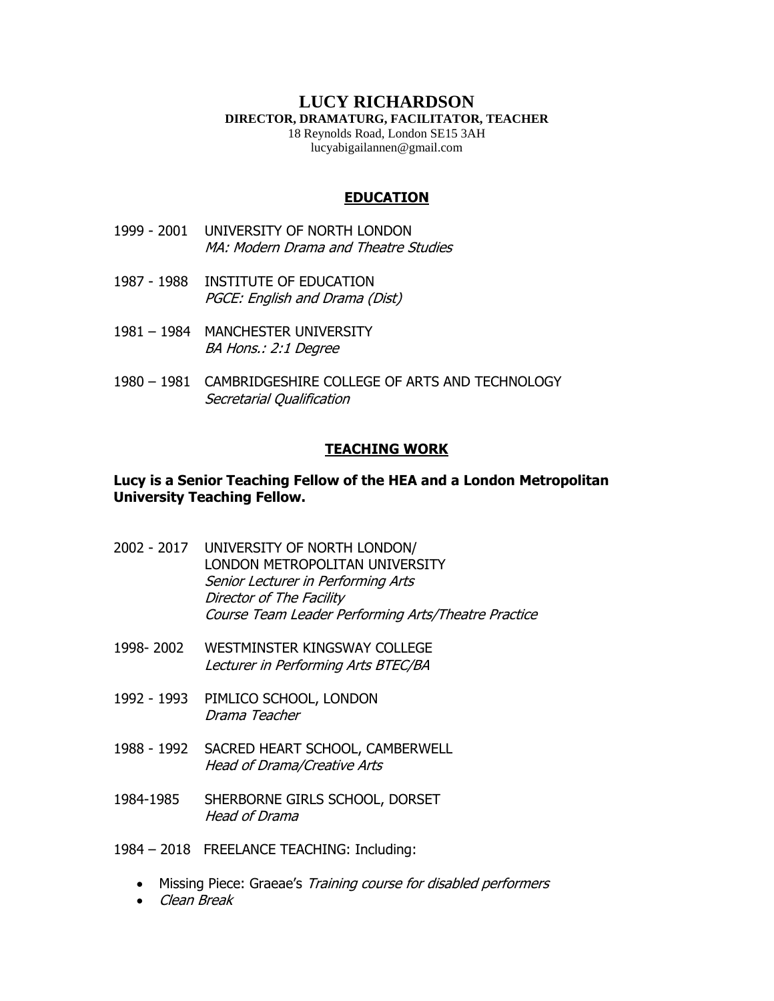### **LUCY RICHARDSON DIRECTOR, DRAMATURG, FACILITATOR, TEACHER**

18 Reynolds Road, London SE15 3AH lucyabigailannen@gmail.com

### **EDUCATION**

- 1999 2001 UNIVERSITY OF NORTH LONDON MA: Modern Drama and Theatre Studies
- 1987 1988 INSTITUTE OF EDUCATION PGCE: English and Drama (Dist)
- 1981 1984 MANCHESTER UNIVERSITY BA Hons.: 2:1 Degree
- 1980 1981 CAMBRIDGESHIRE COLLEGE OF ARTS AND TECHNOLOGY Secretarial Qualification

#### **TEACHING WORK**

### **Lucy is a Senior Teaching Fellow of the HEA and a London Metropolitan University Teaching Fellow.**

- 2002 2017 UNIVERSITY OF NORTH LONDON/ LONDON METROPOLITAN UNIVERSITY Senior Lecturer in Performing Arts Director of The Facility Course Team Leader Performing Arts/Theatre Practice
- 1998- 2002 WESTMINSTER KINGSWAY COLLEGE Lecturer in Performing Arts BTEC/BA
- 1992 1993 PIMLICO SCHOOL, LONDON Drama Teacher
- 1988 1992 SACRED HEART SCHOOL, CAMBERWELL Head of Drama/Creative Arts
- 1984-1985 SHERBORNE GIRLS SCHOOL, DORSET Head of Drama
- 1984 2018 FREELANCE TEACHING: Including:
	- Missing Piece: Graeae's Training course for disabled performers
	- Clean Break